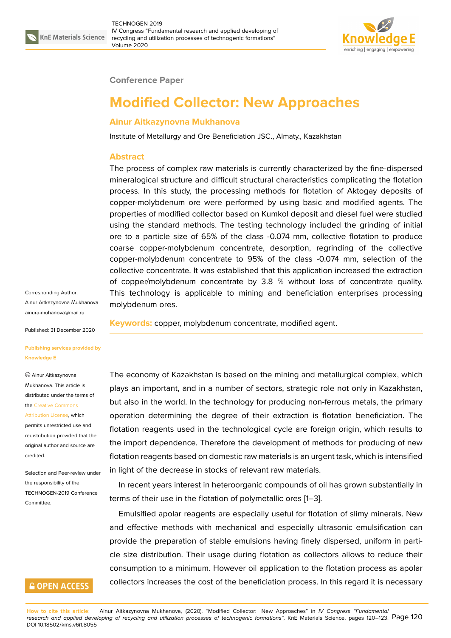

#### **Conference Paper**

# **Modified Collector: New Approaches**

## **Ainur Aitkazynovna Mukhanova**

Institute of Metallurgy and Ore Beneficiation JSC., Almaty., Kazakhstan

#### **Abstract**

The process of complex raw materials is currently characterized by the fine-dispersed mineralogical structure and difficult structural characteristics complicating the flotation process. In this study, the processing methods for flotation of Aktogay deposits of copper-molybdenum ore were performed by using basic and modified agents. The properties of modified collector based on Kumkol deposit and diesel fuel were studied using the standard methods. The testing technology included the grinding of initial ore to a particle size of 65% of the class -0.074 mm, collective flotation to produce coarse copper-molybdenum concentrate, desorption, regrinding of the collective copper-molybdenum concentrate to 95% of the class -0.074 mm, selection of the collective concentrate. It was established that this application increased the extraction of copper/molybdenum concentrate by 3.8 % without loss of concentrate quality. This technology is applicable to mining and beneficiation enterprises processing molybdenum ores.

Corresponding Author: Ainur Aitkazynovna Мukhanova ainura-muhanova@mail.ru

Published: 31 December 2020

#### **[Publishing services provid](mailto:ainura-muhanova@mail.ru)ed by Knowledge E**

## Ainur Aitkazynovna Мukhanova. This article is distributed under the terms of the Creative Commons

Attribution License, which permits unrestricted use and redistribution provided that the orig[inal author and sou](https://creativecommons.org/licenses/by/4.0/)rce are [credited.](https://creativecommons.org/licenses/by/4.0/)

Selection and Peer-review under the responsibility of the TECHNOGEN-2019 Conference Committee.

## **GOPEN ACCESS**

**Keywords:** copper, molybdenum concentrate, modified agent.

The economy of Kazakhstan is based on the mining and metallurgical complex, which plays an important, and in a number of sectors, strategic role not only in Kazakhstan, but also in the world. In the technology for producing non-ferrous metals, the primary operation determining the degree of their extraction is flotation beneficiation. The flotation reagents used in the technological cycle are foreign origin, which results to the import dependence. Therefore the development of methods for producing of new flotation reagents based on domestic raw materials is an urgent task, which is intensified in light of the decrease in stocks of relevant raw materials.

In recent years interest in heteroorganic compounds of oil has grown substantially in terms of their use in the flotation of polymetallic ores [1–3].

Emulsified apolar reagents are especially useful for flotation of slimy minerals. New and effective methods with mechanical and especially ultrasonic emulsification can provide the preparation of stable emulsions having fi[n](#page-3-0)[ely](#page-3-1) dispersed, uniform in particle size distribution. Their usage during flotation as collectors allows to reduce their consumption to a minimum. However oil application to the flotation process as apolar collectors increases the cost of the beneficiation process. In this regard it is necessary

**How to cite this article**: Ainur Aitkazynovna Mukhanova, (2020), "Modified Collector: New Approaches" in *IV Congress "Fundamental research and applied developing of recycling and utilization processes of technogenic formations"*, KnE Materials Science, pages 120–123. Page 120 DOI 10.18502/kms.v6i1.8055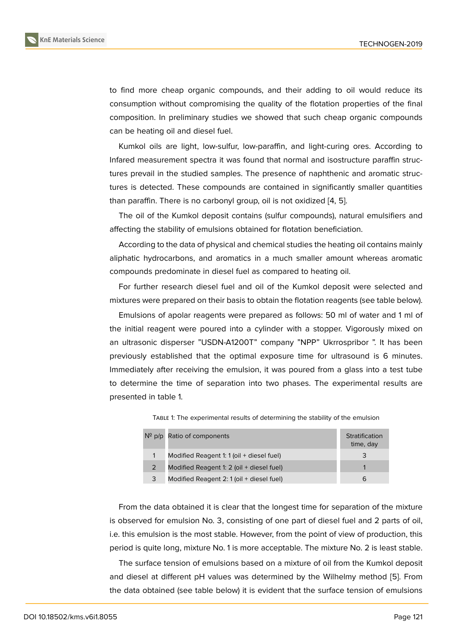to find more cheap organic compounds, and their adding to oil would reduce its consumption without compromising the quality of the flotation properties of the final composition. In preliminary studies we showed that such cheap organic compounds can be heating oil and diesel fuel.

Kumkol oils are light, low-sulfur, low-paraffin, and light-curing ores. According to Infared measurement spectra it was found that normal and isostructure paraffin structures prevail in the studied samples. The presence of naphthenic and aromatic structures is detected. These compounds are contained in significantly smaller quantities than paraffin. There is no carbonyl group, oil is not oxidized [4, 5].

The oil of the Kumkol deposit contains (sulfur compounds), natural emulsifiers and affecting the stability of emulsions obtained for flotation beneficiation.

According to the data of physical and chemical studies the [he](#page-3-2)[at](#page-3-3)ing oil contains mainly aliphatic hydrocarbons, and aromatics in a much smaller amount whereas aromatic compounds predominate in diesel fuel as compared to heating oil.

For further research diesel fuel and oil of the Kumkol deposit were selected and mixtures were prepared on their basis to obtain the flotation reagents (see table below).

Emulsions of apolar reagents were prepared as follows: 50 ml of water and 1 ml of the initial reagent were poured into a cylinder with a stopper. Vigorously mixed on an ultrasonic disperser "USDN-A1200T" company "NPP" Ukrrospribor ". It has been previously established that the optimal exposure time for ultrasound is 6 minutes. Immediately after receiving the emulsion, it was poured from a glass into a test tube to determine the time of separation into two phases. The experimental results are presented in table 1.

|   | $N2$ p/p Ratio of components              | Stratification<br>time, day |
|---|-------------------------------------------|-----------------------------|
|   | Modified Reagent 1: 1 (oil + diesel fuel) |                             |
| 2 | Modified Reagent 1: 2 (oil + diesel fuel) |                             |
| 3 | Modified Reagent 2: 1 (oil + diesel fuel) | 6                           |

TABLE 1: The experimental results of determining the stability of the emulsion

From the data obtained it is clear that the longest time for separation of the mixture is observed for emulsion No. 3, consisting of one part of diesel fuel and 2 parts of oil, i.e. this emulsion is the most stable. However, from the point of view of production, this period is quite long, mixture No. 1 is more acceptable. The mixture No. 2 is least stable.

The surface tension of emulsions based on a mixture of oil from the Kumkol deposit and diesel at different pH values was determined by the Wilhelmy method [5]. From the data obtained (see table below) it is evident that the surface tension of emulsions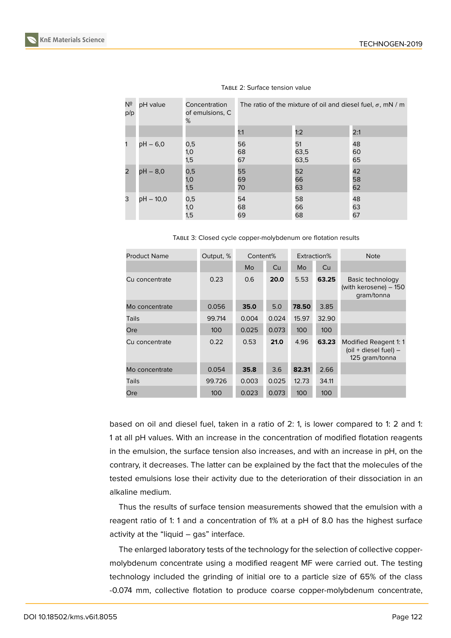

| Nº<br>p/p      | pH value  | Concentration<br>of emulsions, C<br>% | The ratio of the mixture of oil and diesel fuel, $\sigma$ , mN / m |                    |                |  |  |
|----------------|-----------|---------------------------------------|--------------------------------------------------------------------|--------------------|----------------|--|--|
|                |           |                                       | 1:1                                                                | 1:2                | 2:1            |  |  |
|                | pH – 6,0  | 0,5<br>1,0<br>1,5                     | 56<br>68<br>67                                                     | 51<br>63,5<br>63,5 | 48<br>60<br>65 |  |  |
| $\overline{2}$ | pH – 8,0  | 0,5<br>1,0<br>1,5                     | 55<br>69<br>70                                                     | 52<br>66<br>63     | 42<br>58<br>62 |  |  |
| 3              | pH - 10,0 | 0,5<br>1,0<br>1,5                     | 54<br>68<br>69                                                     | 58<br>66<br>68     | 48<br>63<br>67 |  |  |

TABLE 2: Surface tension value

TABLE 3: Closed cycle copper-molybdenum ore flotation results

| <b>Product Name</b> | Output, %<br>Content% |       |           | Extraction% |       | <b>Note</b>                                                        |
|---------------------|-----------------------|-------|-----------|-------------|-------|--------------------------------------------------------------------|
|                     |                       | Mo    | <b>Cu</b> | <b>Mo</b>   | Cu    |                                                                    |
| Cu concentrate      | 0.23                  | 0.6   | 20.0      | 5.53        | 63.25 | Basic technology<br>(with kerosene) - 150<br>gram/tonna            |
| Mo concentrate      | 0.056                 | 35.0  | 5.0       | 78.50       | 3.85  |                                                                    |
| Tails               | 99.714                | 0.004 | 0.024     | 15.97       | 32.90 |                                                                    |
| Ore                 | 100                   | 0.025 | 0.073     | 100         | 100   |                                                                    |
| Cu concentrate      | 0.22                  | 0.53  | 21.0      | 4.96        | 63.23 | Modified Reagent 1: 1<br>(oil + diesel fuel) $-$<br>125 gram/tonna |
| Mo concentrate      | 0.054                 | 35.8  | 3.6       | 82.31       | 2.66  |                                                                    |
| Tails               | 99.726                | 0.003 | 0.025     | 12.73       | 34.11 |                                                                    |
| Ore                 | 100                   | 0.023 | 0.073     | 100         | 100   |                                                                    |

based on oil and diesel fuel, taken in a ratio of 2: 1, is lower compared to 1: 2 and 1: 1 at all pH values. With an increase in the concentration of modified flotation reagents in the emulsion, the surface tension also increases, and with an increase in pH, on the contrary, it decreases. The latter can be explained by the fact that the molecules of the tested emulsions lose their activity due to the deterioration of their dissociation in an alkaline medium.

Thus the results of surface tension measurements showed that the emulsion with a reagent ratio of 1: 1 and a concentration of 1% at a pH of 8.0 has the highest surface activity at the "liquid – gas" interface.

The enlarged laboratory tests of the technology for the selection of collective coppermolybdenum concentrate using a modified reagent MF were carried out. The testing technology included the grinding of initial ore to a particle size of 65% of the class -0.074 mm, collective flotation to produce coarse copper-molybdenum concentrate,